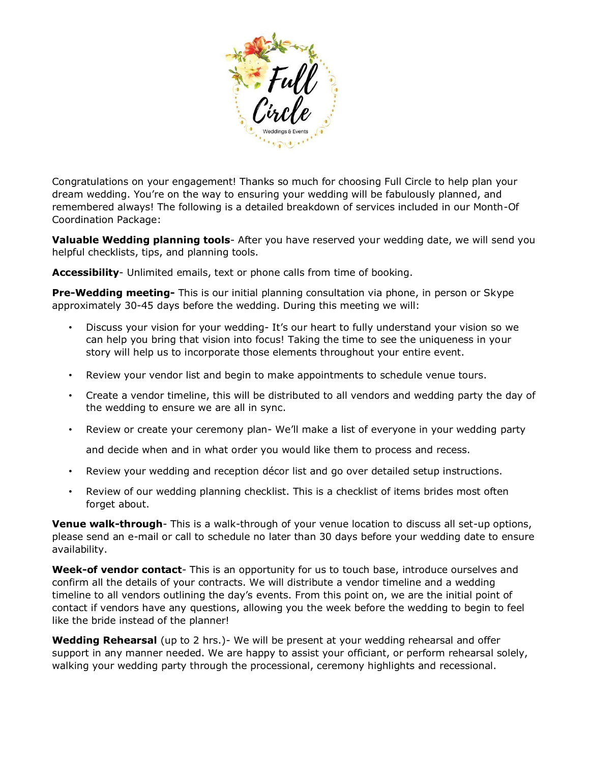

Congratulations on your engagement! Thanks so much for choosing Full Circle to help plan your dream wedding. You're on the way to ensuring your wedding will be fabulously planned, and remembered always! The following is a detailed breakdown of services included in our Month-Of Coordination Package:

**Valuable Wedding planning tools**- After you have reserved your wedding date, we will send you helpful checklists, tips, and planning tools.

**Accessibility**- Unlimited emails, text or phone calls from time of booking.

**Pre-Wedding meeting-** This is our initial planning consultation via phone, in person or Skype approximately 30-45 days before the wedding. During this meeting we will:

- Discuss your vision for your wedding- It's our heart to fully understand your vision so we can help you bring that vision into focus! Taking the time to see the uniqueness in your story will help us to incorporate those elements throughout your entire event.
- Review your vendor list and begin to make appointments to schedule venue tours.
- Create a vendor timeline, this will be distributed to all vendors and wedding party the day of the wedding to ensure we are all in sync.
- Review or create your ceremony plan- We'll make a list of everyone in your wedding party

and decide when and in what order you would like them to process and recess.

- Review your wedding and reception décor list and go over detailed setup instructions.
- Review of our wedding planning checklist. This is a checklist of items brides most often forget about.

**Venue walk-through**- This is a walk-through of your venue location to discuss all set-up options, please send an e-mail or call to schedule no later than 30 days before your wedding date to ensure availability.

**Week-of vendor contact**- This is an opportunity for us to touch base, introduce ourselves and confirm all the details of your contracts. We will distribute a vendor timeline and a wedding timeline to all vendors outlining the day's events. From this point on, we are the initial point of contact if vendors have any questions, allowing you the week before the wedding to begin to feel like the bride instead of the planner!

**Wedding Rehearsal** (up to 2 hrs.)- We will be present at your wedding rehearsal and offer support in any manner needed. We are happy to assist your officiant, or perform rehearsal solely, walking your wedding party through the processional, ceremony highlights and recessional.